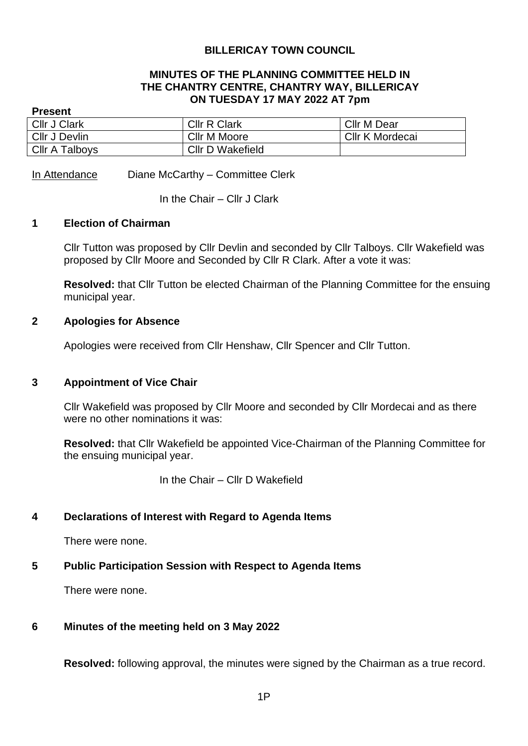### **BILLERICAY TOWN COUNCIL**

#### **MINUTES OF THE PLANNING COMMITTEE HELD IN THE CHANTRY CENTRE, CHANTRY WAY, BILLERICAY ON TUESDAY 17 MAY 2022 AT 7pm**

#### **Present**

| <b>Cllr J Clark</b>   | <b>CIIr R Clark</b>     | <b>Cllr M Dear</b> |
|-----------------------|-------------------------|--------------------|
| <b>Cllr J Devlin</b>  | Cllr M Moore            | Cllr K Mordecai    |
| <b>Cllr A Talboys</b> | <b>CIIr D Wakefield</b> |                    |

In Attendance Diane McCarthy – Committee Clerk

In the Chair – Cllr J Clark

#### **1 Election of Chairman**

Cllr Tutton was proposed by Cllr Devlin and seconded by Cllr Talboys. Cllr Wakefield was proposed by Cllr Moore and Seconded by Cllr R Clark. After a vote it was:

**Resolved:** that Cllr Tutton be elected Chairman of the Planning Committee for the ensuing municipal year.

#### **2 Apologies for Absence**

Apologies were received from Cllr Henshaw, Cllr Spencer and Cllr Tutton.

#### **3 Appointment of Vice Chair**

Cllr Wakefield was proposed by Cllr Moore and seconded by Cllr Mordecai and as there were no other nominations it was:

**Resolved:** that Cllr Wakefield be appointed Vice-Chairman of the Planning Committee for the ensuing municipal year.

In the Chair – Cllr D Wakefield

### **4 Declarations of Interest with Regard to Agenda Items**

There were none.

### **5 Public Participation Session with Respect to Agenda Items**

There were none.

### **6 Minutes of the meeting held on 3 May 2022**

**Resolved:** following approval, the minutes were signed by the Chairman as a true record.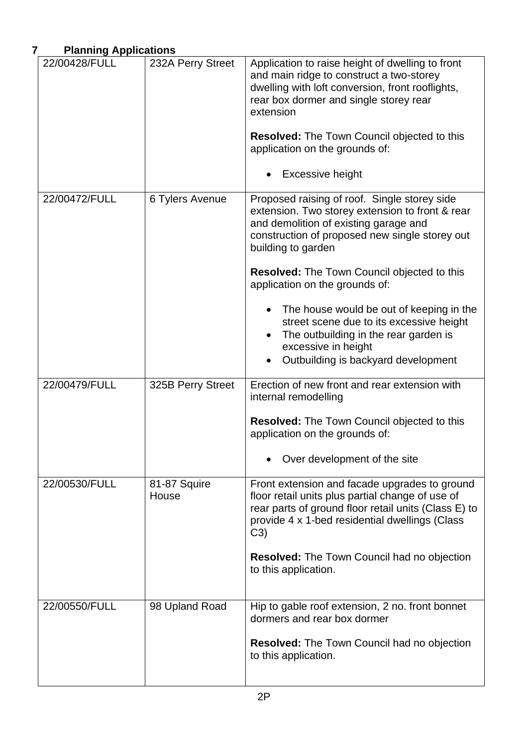# **7 Planning Applications**

| 22/00428/FULL | 232A Perry Street     | Application to raise height of dwelling to front<br>and main ridge to construct a two-storey<br>dwelling with loft conversion, front rooflights,<br>rear box dormer and single storey rear<br>extension<br><b>Resolved:</b> The Town Council objected to this<br>application on the grounds of:                                                                                                                                                                                                         |
|---------------|-----------------------|---------------------------------------------------------------------------------------------------------------------------------------------------------------------------------------------------------------------------------------------------------------------------------------------------------------------------------------------------------------------------------------------------------------------------------------------------------------------------------------------------------|
|               |                       | <b>Excessive height</b>                                                                                                                                                                                                                                                                                                                                                                                                                                                                                 |
| 22/00472/FULL | 6 Tylers Avenue       | Proposed raising of roof. Single storey side<br>extension. Two storey extension to front & rear<br>and demolition of existing garage and<br>construction of proposed new single storey out<br>building to garden<br><b>Resolved:</b> The Town Council objected to this<br>application on the grounds of:<br>The house would be out of keeping in the<br>street scene due to its excessive height<br>The outbuilding in the rear garden is<br>excessive in height<br>Outbuilding is backyard development |
| 22/00479/FULL | 325B Perry Street     | Erection of new front and rear extension with                                                                                                                                                                                                                                                                                                                                                                                                                                                           |
|               |                       | internal remodelling<br>Resolved: The Town Council objected to this<br>application on the grounds of:<br>Over development of the site                                                                                                                                                                                                                                                                                                                                                                   |
| 22/00530/FULL | 81-87 Squire<br>House | Front extension and facade upgrades to ground<br>floor retail units plus partial change of use of<br>rear parts of ground floor retail units (Class E) to<br>provide 4 x 1-bed residential dwellings (Class<br>C3)<br><b>Resolved:</b> The Town Council had no objection<br>to this application.                                                                                                                                                                                                        |
| 22/00550/FULL | 98 Upland Road        | Hip to gable roof extension, 2 no. front bonnet<br>dormers and rear box dormer                                                                                                                                                                                                                                                                                                                                                                                                                          |
|               |                       | <b>Resolved:</b> The Town Council had no objection<br>to this application.                                                                                                                                                                                                                                                                                                                                                                                                                              |